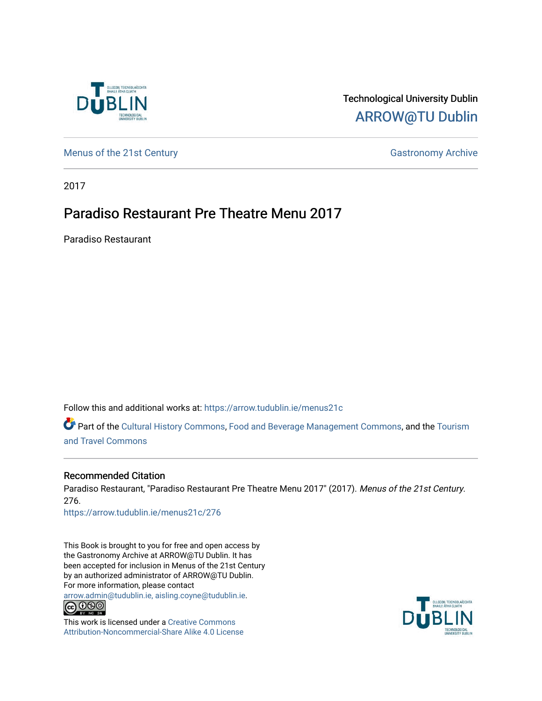

## Technological University Dublin [ARROW@TU Dublin](https://arrow.tudublin.ie/)

[Menus of the 21st Century](https://arrow.tudublin.ie/menus21c) Gastronomy Archive

2017

## Paradiso Restaurant Pre Theatre Menu 2017

Paradiso Restaurant

Follow this and additional works at: [https://arrow.tudublin.ie/menus21c](https://arrow.tudublin.ie/menus21c?utm_source=arrow.tudublin.ie%2Fmenus21c%2F276&utm_medium=PDF&utm_campaign=PDFCoverPages) 

Part of the [Cultural History Commons](http://network.bepress.com/hgg/discipline/496?utm_source=arrow.tudublin.ie%2Fmenus21c%2F276&utm_medium=PDF&utm_campaign=PDFCoverPages), [Food and Beverage Management Commons,](http://network.bepress.com/hgg/discipline/1089?utm_source=arrow.tudublin.ie%2Fmenus21c%2F276&utm_medium=PDF&utm_campaign=PDFCoverPages) and the [Tourism](http://network.bepress.com/hgg/discipline/1082?utm_source=arrow.tudublin.ie%2Fmenus21c%2F276&utm_medium=PDF&utm_campaign=PDFCoverPages) [and Travel Commons](http://network.bepress.com/hgg/discipline/1082?utm_source=arrow.tudublin.ie%2Fmenus21c%2F276&utm_medium=PDF&utm_campaign=PDFCoverPages)

#### Recommended Citation

Paradiso Restaurant, "Paradiso Restaurant Pre Theatre Menu 2017" (2017). Menus of the 21st Century. 276.

[https://arrow.tudublin.ie/menus21c/276](https://arrow.tudublin.ie/menus21c/276?utm_source=arrow.tudublin.ie%2Fmenus21c%2F276&utm_medium=PDF&utm_campaign=PDFCoverPages) 

This Book is brought to you for free and open access by the Gastronomy Archive at ARROW@TU Dublin. It has been accepted for inclusion in Menus of the 21st Century by an authorized administrator of ARROW@TU Dublin. For more information, please contact

[arrow.admin@tudublin.ie, aisling.coyne@tudublin.ie](mailto:arrow.admin@tudublin.ie,%20aisling.coyne@tudublin.ie).<br>
© 090



This work is licensed under a [Creative Commons](http://creativecommons.org/licenses/by-nc-sa/4.0/) [Attribution-Noncommercial-Share Alike 4.0 License](http://creativecommons.org/licenses/by-nc-sa/4.0/)

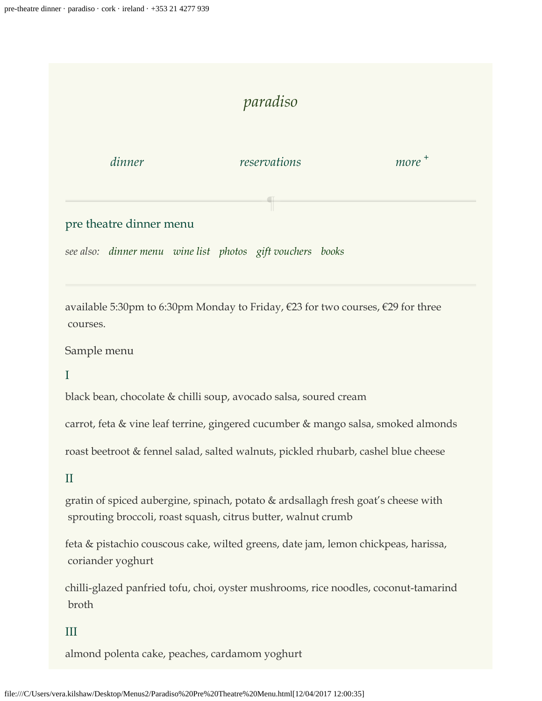# *[paradiso](https://paradiso.restaurant/)*

*[dinner](https://paradiso.restaurant/dinner-menu) [reservations](https://paradiso.restaurant/pre-theatre-menu#)* 

 $\blacksquare$ 

more<sup>[+](https://paradiso.restaurant/pre-theatre-menu#)</sup>

### pre theatre dinner menu

*see also: [dinner menu](https://paradiso.restaurant/dinner-menu) [wine list](https://paradiso.restaurant/wine-list) [photos](https://paradiso.restaurant/photographs) [gift vouchers](https://paradiso.restaurant/buy-vouchers) [books](https://paradiso.restaurant/books-by-denis-cotter)*

available 5:30pm to 6:30pm Monday to Friday, €23 for two courses, €29 for three courses.

Sample menu

I

black bean, chocolate & chilli soup, avocado salsa, soured cream

carrot, feta & vine leaf terrine, gingered cucumber & mango salsa, smoked almonds

roast beetroot & fennel salad, salted walnuts, pickled rhubarb, cashel blue cheese

II

gratin of spiced aubergine, spinach, potato & ardsallagh fresh goat's cheese with sprouting broccoli, roast squash, citrus butter, walnut crumb

feta & pistachio couscous cake, wilted greens, date jam, lemon chickpeas, harissa, coriander yoghurt

chilli-glazed panfried tofu, choi, oyster mushrooms, rice noodles, coconut-tamarind broth

III

almond polenta cake, peaches, cardamom yoghurt